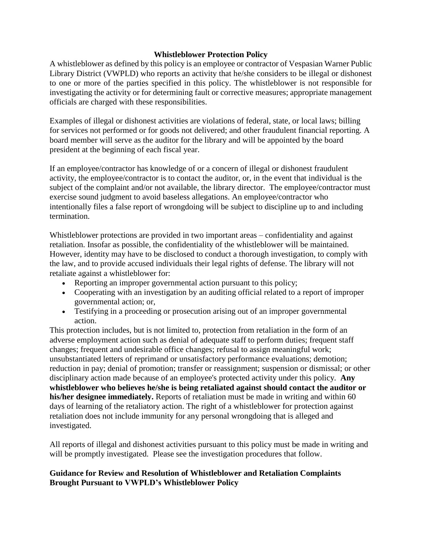### **Whistleblower Protection Policy**

A whistleblower as defined by this policy is an employee or contractor of Vespasian Warner Public Library District (VWPLD) who reports an activity that he/she considers to be illegal or dishonest to one or more of the parties specified in this policy. The whistleblower is not responsible for investigating the activity or for determining fault or corrective measures; appropriate management officials are charged with these responsibilities.

Examples of illegal or dishonest activities are violations of federal, state, or local laws; billing for services not performed or for goods not delivered; and other fraudulent financial reporting. A board member will serve as the auditor for the library and will be appointed by the board president at the beginning of each fiscal year.

If an employee/contractor has knowledge of or a concern of illegal or dishonest fraudulent activity, the employee/contractor is to contact the auditor, or, in the event that individual is the subject of the complaint and/or not available, the library director. The employee/contractor must exercise sound judgment to avoid baseless allegations. An employee/contractor who intentionally files a false report of wrongdoing will be subject to discipline up to and including termination.

Whistleblower protections are provided in two important areas – confidentiality and against retaliation. Insofar as possible, the confidentiality of the whistleblower will be maintained. However, identity may have to be disclosed to conduct a thorough investigation, to comply with the law, and to provide accused individuals their legal rights of defense. The library will not retaliate against a whistleblower for:

- Reporting an improper governmental action pursuant to this policy;
- Cooperating with an investigation by an auditing official related to a report of improper governmental action; or,
- Testifying in a proceeding or prosecution arising out of an improper governmental action.

This protection includes, but is not limited to, protection from retaliation in the form of an adverse employment action such as denial of adequate staff to perform duties; frequent staff changes; frequent and undesirable office changes; refusal to assign meaningful work; unsubstantiated letters of reprimand or unsatisfactory performance evaluations; demotion; reduction in pay; denial of promotion; transfer or reassignment; suspension or dismissal; or other disciplinary action made because of an employee's protected activity under this policy. **Any whistleblower who believes he/she is being retaliated against should contact the auditor or his/her designee immediately.** Reports of retaliation must be made in writing and within 60 days of learning of the retaliatory action. The right of a whistleblower for protection against retaliation does not include immunity for any personal wrongdoing that is alleged and investigated.

All reports of illegal and dishonest activities pursuant to this policy must be made in writing and will be promptly investigated. Please see the investigation procedures that follow.

# **Guidance for Review and Resolution of Whistleblower and Retaliation Complaints Brought Pursuant to VWPLD's Whistleblower Policy**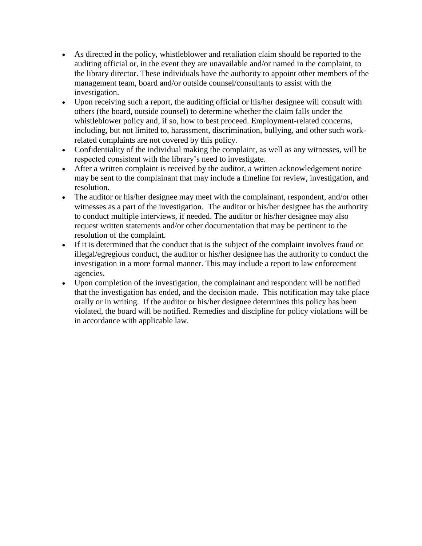- As directed in the policy, whistleblower and retaliation claim should be reported to the auditing official or, in the event they are unavailable and/or named in the complaint, to the library director. These individuals have the authority to appoint other members of the management team, board and/or outside counsel/consultants to assist with the investigation.
- Upon receiving such a report, the auditing official or his/her designee will consult with others (the board, outside counsel) to determine whether the claim falls under the whistleblower policy and, if so, how to best proceed. Employment-related concerns, including, but not limited to, harassment, discrimination, bullying, and other such workrelated complaints are not covered by this policy.
- Confidentiality of the individual making the complaint, as well as any witnesses, will be respected consistent with the library's need to investigate.
- After a written complaint is received by the auditor, a written acknowledgement notice may be sent to the complainant that may include a timeline for review, investigation, and resolution.
- The auditor or his/her designee may meet with the complainant, respondent, and/or other witnesses as a part of the investigation. The auditor or his/her designee has the authority to conduct multiple interviews, if needed. The auditor or his/her designee may also request written statements and/or other documentation that may be pertinent to the resolution of the complaint.
- If it is determined that the conduct that is the subject of the complaint involves fraud or illegal/egregious conduct, the auditor or his/her designee has the authority to conduct the investigation in a more formal manner. This may include a report to law enforcement agencies.
- Upon completion of the investigation, the complainant and respondent will be notified that the investigation has ended, and the decision made. This notification may take place orally or in writing. If the auditor or his/her designee determines this policy has been violated, the board will be notified. Remedies and discipline for policy violations will be in accordance with applicable law.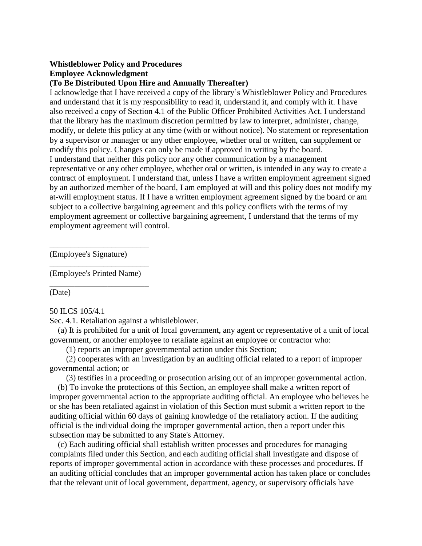## **Whistleblower Policy and Procedures**

### **Employee Acknowledgment**

### **(To Be Distributed Upon Hire and Annually Thereafter)**

I acknowledge that I have received a copy of the library's Whistleblower Policy and Procedures and understand that it is my responsibility to read it, understand it, and comply with it. I have also received a copy of Section 4.1 of the Public Officer Prohibited Activities Act. I understand that the library has the maximum discretion permitted by law to interpret, administer, change, modify, or delete this policy at any time (with or without notice). No statement or representation by a supervisor or manager or any other employee, whether oral or written, can supplement or modify this policy. Changes can only be made if approved in writing by the board. I understand that neither this policy nor any other communication by a management representative or any other employee, whether oral or written, is intended in any way to create a contract of employment. I understand that, unless I have a written employment agreement signed by an authorized member of the board, I am employed at will and this policy does not modify my at-will employment status. If I have a written employment agreement signed by the board or am subject to a collective bargaining agreement and this policy conflicts with the terms of my employment agreement or collective bargaining agreement, I understand that the terms of my employment agreement will control.

(Employee's Signature)

\_\_\_\_\_\_\_\_\_\_\_\_\_\_\_\_\_\_\_\_\_\_\_\_ (Employee's Printed Name) \_\_\_\_\_\_\_\_\_\_\_\_\_\_\_\_\_\_\_\_\_\_\_\_

\_\_\_\_\_\_\_\_\_\_\_\_\_\_\_\_\_\_\_\_\_\_\_\_

(Date)

#### 50 ILCS 105/4.1

Sec. 4.1. Retaliation against a whistleblower.

 (a) It is prohibited for a unit of local government, any agent or representative of a unit of local government, or another employee to retaliate against an employee or contractor who:

(1) reports an improper governmental action under this Section;

 (2) cooperates with an investigation by an auditing official related to a report of improper governmental action; or

(3) testifies in a proceeding or prosecution arising out of an improper governmental action.

 (b) To invoke the protections of this Section, an employee shall make a written report of improper governmental action to the appropriate auditing official. An employee who believes he or she has been retaliated against in violation of this Section must submit a written report to the auditing official within 60 days of gaining knowledge of the retaliatory action. If the auditing official is the individual doing the improper governmental action, then a report under this subsection may be submitted to any State's Attorney.

 (c) Each auditing official shall establish written processes and procedures for managing complaints filed under this Section, and each auditing official shall investigate and dispose of reports of improper governmental action in accordance with these processes and procedures. If an auditing official concludes that an improper governmental action has taken place or concludes that the relevant unit of local government, department, agency, or supervisory officials have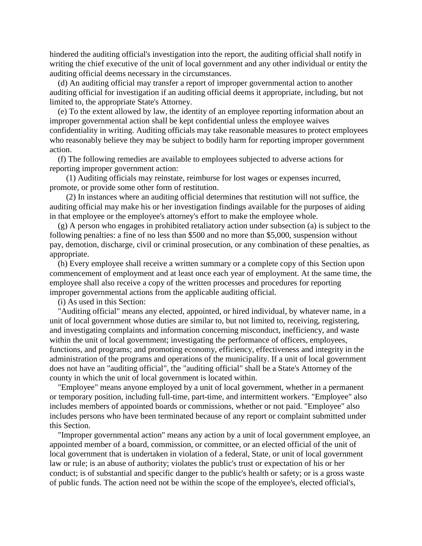hindered the auditing official's investigation into the report, the auditing official shall notify in writing the chief executive of the unit of local government and any other individual or entity the auditing official deems necessary in the circumstances.

 (d) An auditing official may transfer a report of improper governmental action to another auditing official for investigation if an auditing official deems it appropriate, including, but not limited to, the appropriate State's Attorney.

 (e) To the extent allowed by law, the identity of an employee reporting information about an improper governmental action shall be kept confidential unless the employee waives confidentiality in writing. Auditing officials may take reasonable measures to protect employees who reasonably believe they may be subject to bodily harm for reporting improper government action.

 (f) The following remedies are available to employees subjected to adverse actions for reporting improper government action:

 (1) Auditing officials may reinstate, reimburse for lost wages or expenses incurred, promote, or provide some other form of restitution.

 (2) In instances where an auditing official determines that restitution will not suffice, the auditing official may make his or her investigation findings available for the purposes of aiding in that employee or the employee's attorney's effort to make the employee whole.

 (g) A person who engages in prohibited retaliatory action under subsection (a) is subject to the following penalties: a fine of no less than \$500 and no more than \$5,000, suspension without pay, demotion, discharge, civil or criminal prosecution, or any combination of these penalties, as appropriate.

 (h) Every employee shall receive a written summary or a complete copy of this Section upon commencement of employment and at least once each year of employment. At the same time, the employee shall also receive a copy of the written processes and procedures for reporting improper governmental actions from the applicable auditing official.

(i) As used in this Section:

 "Auditing official" means any elected, appointed, or hired individual, by whatever name, in a unit of local government whose duties are similar to, but not limited to, receiving, registering, and investigating complaints and information concerning misconduct, inefficiency, and waste within the unit of local government; investigating the performance of officers, employees, functions, and programs; and promoting economy, efficiency, effectiveness and integrity in the administration of the programs and operations of the municipality. If a unit of local government does not have an "auditing official", the "auditing official" shall be a State's Attorney of the county in which the unit of local government is located within.

 "Employee" means anyone employed by a unit of local government, whether in a permanent or temporary position, including full-time, part-time, and intermittent workers. "Employee" also includes members of appointed boards or commissions, whether or not paid. "Employee" also includes persons who have been terminated because of any report or complaint submitted under this Section.

 "Improper governmental action" means any action by a unit of local government employee, an appointed member of a board, commission, or committee, or an elected official of the unit of local government that is undertaken in violation of a federal, State, or unit of local government law or rule; is an abuse of authority; violates the public's trust or expectation of his or her conduct; is of substantial and specific danger to the public's health or safety; or is a gross waste of public funds. The action need not be within the scope of the employee's, elected official's,